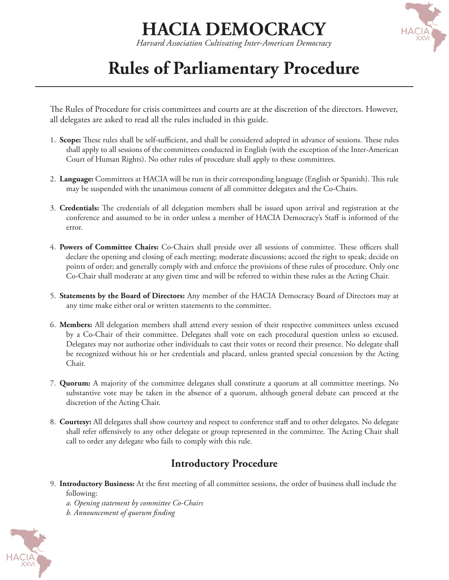## **HACIA DEMOCRACY**

*Harvard Association Cultivating Inter-American Democracy*

### **Rules of Parliamentary Procedure**

The Rules of Procedure for crisis committees and courts are at the discretion of the directors. However, all delegates are asked to read all the rules included in this guide.

- 1. **Scope:** These rules shall be self-sufficient, and shall be considered adopted in advance of sessions. These rules shall apply to all sessions of the committees conducted in English (with the exception of the Inter-American Court of Human Rights). No other rules of procedure shall apply to these committees.
- 2. **Language:** Committees at HACIA will be run in their corresponding language (English or Spanish). This rule may be suspended with the unanimous consent of all committee delegates and the Co-Chairs.
- 3. **Credentials:** The credentials of all delegation members shall be issued upon arrival and registration at the conference and assumed to be in order unless a member of HACIA Democracy's Staff is informed of the error.
- 4. **Powers of Committee Chairs:** Co-Chairs shall preside over all sessions of committee. These officers shall declare the opening and closing of each meeting; moderate discussions; accord the right to speak; decide on points of order; and generally comply with and enforce the provisions of these rules of procedure. Only one Co-Chair shall moderate at any given time and will be referred to within these rules as the Acting Chair.
- 5. **Statements by the Board of Directors:** Any member of the HACIA Democracy Board of Directors may at any time make either oral or written statements to the committee.
- 6. **Members:** All delegation members shall attend every session of their respective committees unless excused by a Co-Chair of their committee. Delegates shall vote on each procedural question unless so excused. Delegates may not authorize other individuals to cast their votes or record their presence. No delegate shall be recognized without his or her credentials and placard, unless granted special concession by the Acting Chair.
- 7. **Quorum:** A majority of the committee delegates shall constitute a quorum at all committee meetings. No substantive vote may be taken in the absence of a quorum, although general debate can proceed at the discretion of the Acting Chair.
- 8. **Courtesy:** All delegates shall show courtesy and respect to conference staff and to other delegates. No delegate shall refer offensively to any other delegate or group represented in the committee. The Acting Chair shall call to order any delegate who fails to comply with this rule.

### **Introductory Procedure**

9. **Introductory Business:** At the first meeting of all committee sessions, the order of business shall include the following:

*a. Opening statement by committee Co-Chairs b. Announcement of quorum finding*

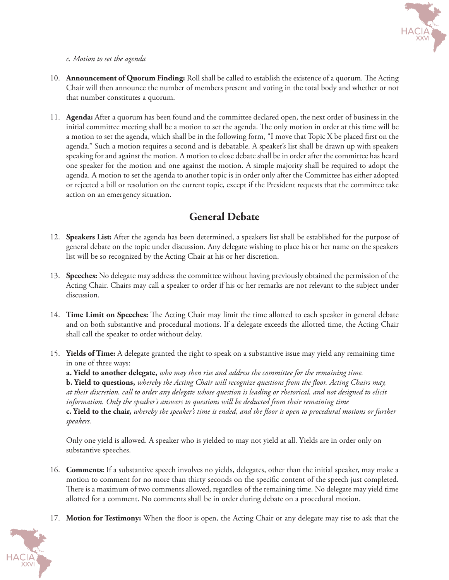

#### *c. Motion to set the agenda*

- 10. **Announcement of Quorum Finding:** Roll shall be called to establish the existence of a quorum. The Acting Chair will then announce the number of members present and voting in the total body and whether or not that number constitutes a quorum.
- 11. **Agenda:** After a quorum has been found and the committee declared open, the next order of business in the initial committee meeting shall be a motion to set the agenda. The only motion in order at this time will be a motion to set the agenda, which shall be in the following form, "I move that Topic X be placed first on the agenda." Such a motion requires a second and is debatable. A speaker's list shall be drawn up with speakers speaking for and against the motion. A motion to close debate shall be in order after the committee has heard one speaker for the motion and one against the motion. A simple majority shall be required to adopt the agenda. A motion to set the agenda to another topic is in order only after the Committee has either adopted or rejected a bill or resolution on the current topic, except if the President requests that the committee take action on an emergency situation.

#### **General Debate**

- 12. **Speakers List:** After the agenda has been determined, a speakers list shall be established for the purpose of general debate on the topic under discussion. Any delegate wishing to place his or her name on the speakers list will be so recognized by the Acting Chair at his or her discretion.
- 13. **Speeches:** No delegate may address the committee without having previously obtained the permission of the Acting Chair. Chairs may call a speaker to order if his or her remarks are not relevant to the subject under discussion.
- 14. **Time Limit on Speeches:** The Acting Chair may limit the time allotted to each speaker in general debate and on both substantive and procedural motions. If a delegate exceeds the allotted time, the Acting Chair shall call the speaker to order without delay.
- 15. **Yields of Time:** A delegate granted the right to speak on a substantive issue may yield any remaining time in one of three ways:

**a. Yield to another delegate,** *who may then rise and address the committee for the remaining time.*

**b. Yield to questions,** *whereby the Acting Chair will recognize questions from the floor. Acting Chairs may, at their discretion, call to order any delegate whose question is leading or rhetorical, and not designed to elicit information. Only the speaker's answers to questions will be deducted from their remaining time* **c. Yield to the chair,** *whereby the speaker's time is ended, and the floor is open to procedural motions or further speakers.*

Only one yield is allowed. A speaker who is yielded to may not yield at all. Yields are in order only on substantive speeches.

- 16. **Comments:** If a substantive speech involves no yields, delegates, other than the initial speaker, may make a motion to comment for no more than thirty seconds on the specific content of the speech just completed. There is a maximum of two comments allowed, regardless of the remaining time. No delegate may yield time allotted for a comment. No comments shall be in order during debate on a procedural motion.
- 17. **Motion for Testimony:** When the floor is open, the Acting Chair or any delegate may rise to ask that the

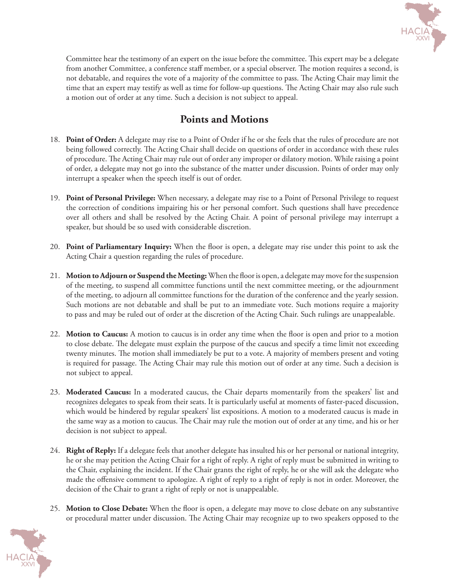

Committee hear the testimony of an expert on the issue before the committee. This expert may be a delegate from another Committee, a conference staff member, or a special observer. The motion requires a second, is not debatable, and requires the vote of a majority of the committee to pass. The Acting Chair may limit the time that an expert may testify as well as time for follow-up questions. The Acting Chair may also rule such a motion out of order at any time. Such a decision is not subject to appeal.

#### **Points and Motions**

- 18. **Point of Order:** A delegate may rise to a Point of Order if he or she feels that the rules of procedure are not being followed correctly. The Acting Chair shall decide on questions of order in accordance with these rules of procedure. The Acting Chair may rule out of order any improper or dilatory motion. While raising a point of order, a delegate may not go into the substance of the matter under discussion. Points of order may only interrupt a speaker when the speech itself is out of order.
- 19. **Point of Personal Privilege:** When necessary, a delegate may rise to a Point of Personal Privilege to request the correction of conditions impairing his or her personal comfort. Such questions shall have precedence over all others and shall be resolved by the Acting Chair. A point of personal privilege may interrupt a speaker, but should be so used with considerable discretion.
- 20. **Point of Parliamentary Inquiry:** When the floor is open, a delegate may rise under this point to ask the Acting Chair a question regarding the rules of procedure.
- 21. **Motion to Adjourn or Suspend the Meeting:** When the floor is open, a delegate may move for the suspension of the meeting, to suspend all committee functions until the next committee meeting, or the adjournment of the meeting, to adjourn all committee functions for the duration of the conference and the yearly session. Such motions are not debatable and shall be put to an immediate vote. Such motions require a majority to pass and may be ruled out of order at the discretion of the Acting Chair. Such rulings are unappealable.
- 22. **Motion to Caucus:** A motion to caucus is in order any time when the floor is open and prior to a motion to close debate. The delegate must explain the purpose of the caucus and specify a time limit not exceeding twenty minutes. The motion shall immediately be put to a vote. A majority of members present and voting is required for passage. The Acting Chair may rule this motion out of order at any time. Such a decision is not subject to appeal.
- 23. **Moderated Caucus:** In a moderated caucus, the Chair departs momentarily from the speakers' list and recognizes delegates to speak from their seats. It is particularly useful at moments of faster-paced discussion, which would be hindered by regular speakers' list expositions. A motion to a moderated caucus is made in the same way as a motion to caucus. The Chair may rule the motion out of order at any time, and his or her decision is not subject to appeal.
- 24. **Right of Reply:** If a delegate feels that another delegate has insulted his or her personal or national integrity, he or she may petition the Acting Chair for a right of reply. A right of reply must be submitted in writing to the Chair, explaining the incident. If the Chair grants the right of reply, he or she will ask the delegate who made the offensive comment to apologize. A right of reply to a right of reply is not in order. Moreover, the decision of the Chair to grant a right of reply or not is unappealable.
- 25. **Motion to Close Debate:** When the floor is open, a delegate may move to close debate on any substantive or procedural matter under discussion. The Acting Chair may recognize up to two speakers opposed to the

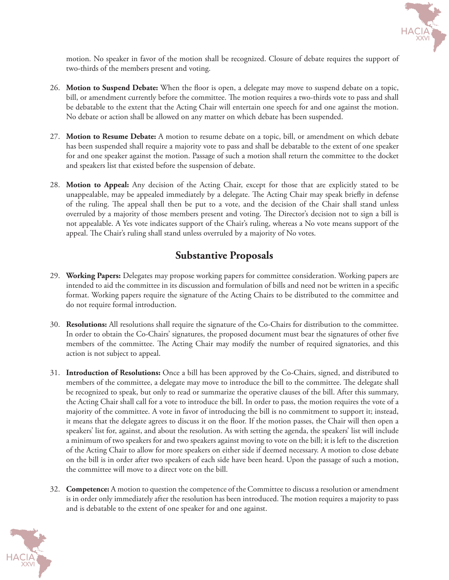

motion. No speaker in favor of the motion shall be recognized. Closure of debate requires the support of two-thirds of the members present and voting.

- 26. **Motion to Suspend Debate:** When the floor is open, a delegate may move to suspend debate on a topic, bill, or amendment currently before the committee. The motion requires a two-thirds vote to pass and shall be debatable to the extent that the Acting Chair will entertain one speech for and one against the motion. No debate or action shall be allowed on any matter on which debate has been suspended.
- 27. **Motion to Resume Debate:** A motion to resume debate on a topic, bill, or amendment on which debate has been suspended shall require a majority vote to pass and shall be debatable to the extent of one speaker for and one speaker against the motion. Passage of such a motion shall return the committee to the docket and speakers list that existed before the suspension of debate.
- 28. **Motion to Appeal:** Any decision of the Acting Chair, except for those that are explicitly stated to be unappealable, may be appealed immediately by a delegate. The Acting Chair may speak briefly in defense of the ruling. The appeal shall then be put to a vote, and the decision of the Chair shall stand unless overruled by a majority of those members present and voting. The Director's decision not to sign a bill is not appealable. A Yes vote indicates support of the Chair's ruling, whereas a No vote means support of the appeal. The Chair's ruling shall stand unless overruled by a majority of No votes.

#### **Substantive Proposals**

- 29. **Working Papers:** Delegates may propose working papers for committee consideration. Working papers are intended to aid the committee in its discussion and formulation of bills and need not be written in a specific format. Working papers require the signature of the Acting Chairs to be distributed to the committee and do not require formal introduction.
- 30. **Resolutions:** All resolutions shall require the signature of the Co-Chairs for distribution to the committee. In order to obtain the Co-Chairs' signatures, the proposed document must bear the signatures of other five members of the committee. The Acting Chair may modify the number of required signatories, and this action is not subject to appeal.
- 31. **Introduction of Resolutions:** Once a bill has been approved by the Co-Chairs, signed, and distributed to members of the committee, a delegate may move to introduce the bill to the committee. The delegate shall be recognized to speak, but only to read or summarize the operative clauses of the bill. After this summary, the Acting Chair shall call for a vote to introduce the bill. In order to pass, the motion requires the vote of a majority of the committee. A vote in favor of introducing the bill is no commitment to support it; instead, it means that the delegate agrees to discuss it on the floor. If the motion passes, the Chair will then open a speakers' list for, against, and about the resolution. As with setting the agenda, the speakers' list will include a minimum of two speakers for and two speakers against moving to vote on the bill; it is left to the discretion of the Acting Chair to allow for more speakers on either side if deemed necessary. A motion to close debate on the bill is in order after two speakers of each side have been heard. Upon the passage of such a motion, the committee will move to a direct vote on the bill.
- 32. **Competence:** A motion to question the competence of the Committee to discuss a resolution or amendment is in order only immediately after the resolution has been introduced. The motion requires a majority to pass and is debatable to the extent of one speaker for and one against.

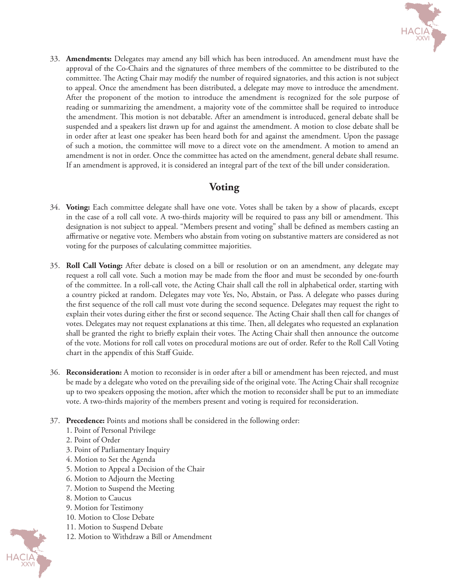

33. **Amendments:** Delegates may amend any bill which has been introduced. An amendment must have the approval of the Co-Chairs and the signatures of three members of the committee to be distributed to the committee. The Acting Chair may modify the number of required signatories, and this action is not subject to appeal. Once the amendment has been distributed, a delegate may move to introduce the amendment. After the proponent of the motion to introduce the amendment is recognized for the sole purpose of reading or summarizing the amendment, a majority vote of the committee shall be required to introduce the amendment. This motion is not debatable. After an amendment is introduced, general debate shall be suspended and a speakers list drawn up for and against the amendment. A motion to close debate shall be in order after at least one speaker has been heard both for and against the amendment. Upon the passage of such a motion, the committee will move to a direct vote on the amendment. A motion to amend an amendment is not in order. Once the committee has acted on the amendment, general debate shall resume. If an amendment is approved, it is considered an integral part of the text of the bill under consideration.

#### **Voting**

- 34. **Voting:** Each committee delegate shall have one vote. Votes shall be taken by a show of placards, except in the case of a roll call vote. A two-thirds majority will be required to pass any bill or amendment. This designation is not subject to appeal. "Members present and voting" shall be defined as members casting an affirmative or negative vote. Members who abstain from voting on substantive matters are considered as not voting for the purposes of calculating committee majorities.
- 35. **Roll Call Voting:** After debate is closed on a bill or resolution or on an amendment, any delegate may request a roll call vote. Such a motion may be made from the floor and must be seconded by one-fourth of the committee. In a roll-call vote, the Acting Chair shall call the roll in alphabetical order, starting with a country picked at random. Delegates may vote Yes, No, Abstain, or Pass. A delegate who passes during the first sequence of the roll call must vote during the second sequence. Delegates may request the right to explain their votes during either the first or second sequence. The Acting Chair shall then call for changes of votes. Delegates may not request explanations at this time. Then, all delegates who requested an explanation shall be granted the right to briefly explain their votes. The Acting Chair shall then announce the outcome of the vote. Motions for roll call votes on procedural motions are out of order. Refer to the Roll Call Voting chart in the appendix of this Staff Guide.
- 36. **Reconsideration:** A motion to reconsider is in order after a bill or amendment has been rejected, and must be made by a delegate who voted on the prevailing side of the original vote. The Acting Chair shall recognize up to two speakers opposing the motion, after which the motion to reconsider shall be put to an immediate vote. A two-thirds majority of the members present and voting is required for reconsideration.
- 37. **Precedence:** Points and motions shall be considered in the following order:
	- 1. Point of Personal Privilege
	- 2. Point of Order
	- 3. Point of Parliamentary Inquiry
	- 4. Motion to Set the Agenda
	- 5. Motion to Appeal a Decision of the Chair
	- 6. Motion to Adjourn the Meeting
	- 7. Motion to Suspend the Meeting
	- 8. Motion to Caucus
	- 9. Motion for Testimony
	- 10. Motion to Close Debate
	- 11. Motion to Suspend Debate
	- 12. Motion to Withdraw a Bill or Amendment

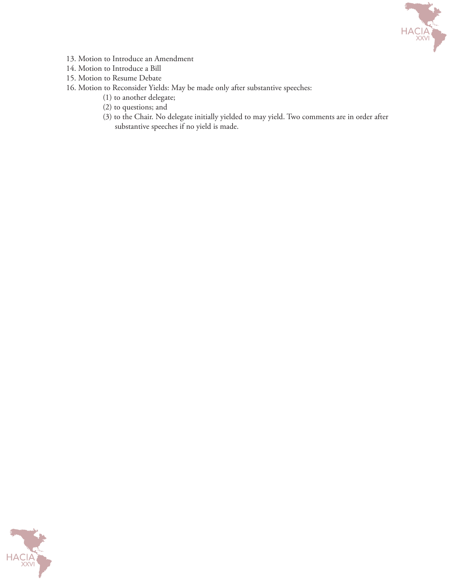

- 13. Motion to Introduce an Amendment
- 14. Motion to Introduce a Bill
- 15. Motion to Resume Debate
- 16. Motion to Reconsider Yields: May be made only after substantive speeches:
	- (1) to another delegate;
	- (2) to questions; and
	- (3) to the Chair. No delegate initially yielded to may yield. Two comments are in order after substantive speeches if no yield is made.

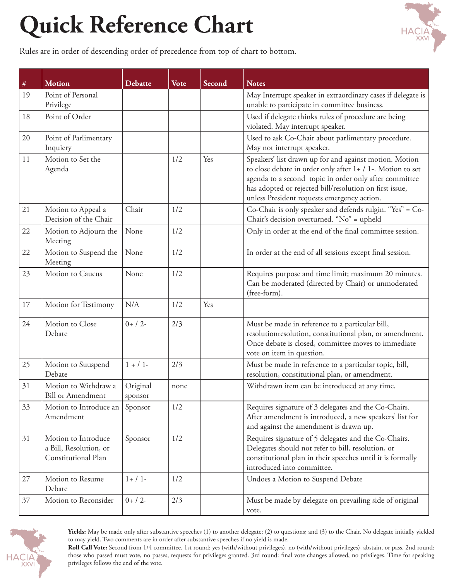# **Quick Reference Chart**



Rules are in order of descending order of precedence from top of chart to bottom.

| $\#$ | <b>Motion</b>                                                        | Debatte             | <b>Vote</b> | Second | <b>Notes</b>                                                                                                                                                                                                                                                                             |
|------|----------------------------------------------------------------------|---------------------|-------------|--------|------------------------------------------------------------------------------------------------------------------------------------------------------------------------------------------------------------------------------------------------------------------------------------------|
| 19   | Point of Personal<br>Privilege                                       |                     |             |        | May Interrupt speaker in extraordinary cases if delegate is<br>unable to participate in committee business.                                                                                                                                                                              |
| 18   | Point of Order                                                       |                     |             |        | Used if delegate thinks rules of procedure are being<br>violated. May interrupt speaker.                                                                                                                                                                                                 |
| 20   | Point of Parlimentary<br>Inquiery                                    |                     |             |        | Used to ask Co-Chair about parlimentary procedure.<br>May not interrupt speaker.                                                                                                                                                                                                         |
| 11   | Motion to Set the<br>Agenda                                          |                     | 1/2         | Yes    | Speakers' list drawn up for and against motion. Motion<br>to close debate in order only after 1+ / 1-. Motion to set<br>agenda to a second topic in order only after committee<br>has adopted or rejected bill/resolution on first issue,<br>unless President requests emergency action. |
| 21   | Motion to Appeal a<br>Decision of the Chair                          | Chair               | 1/2         |        | Co-Chair is only speaker and defends rulgin. "Yes" = Co-<br>Chair's decision overturned. "No" = upheld                                                                                                                                                                                   |
| 22   | Motion to Adjourn the<br>Meeting                                     | None                | 1/2         |        | Only in order at the end of the final committee session.                                                                                                                                                                                                                                 |
| 22   | Motion to Suspend the<br>Meeting                                     | None                | 1/2         |        | In order at the end of all sessions except final session.                                                                                                                                                                                                                                |
| 23   | Motion to Caucus                                                     | None                | 1/2         |        | Requires purpose and time limit; maximum 20 minutes.<br>Can be moderated (directed by Chair) or unmoderated<br>(free-form).                                                                                                                                                              |
| 17   | Motion for Testimony                                                 | N/A                 | 1/2         | Yes    |                                                                                                                                                                                                                                                                                          |
| 24   | Motion to Close<br>Debate                                            | $0+ / 2-$           | 2/3         |        | Must be made in reference to a particular bill,<br>resolutionresolution, constitutional plan, or amendment.<br>Once debate is closed, committee moves to immediate<br>vote on item in question.                                                                                          |
| 25   | Motion to Suuspend<br>Debate                                         | $1 + / 1 -$         | 2/3         |        | Must be made in reference to a particular topic, bill,<br>resolution, constitutional plan, or amendment.                                                                                                                                                                                 |
| 31   | Motion to Withdraw a<br><b>Bill or Amendment</b>                     | Original<br>sponsor | none        |        | Withdrawn item can be introduced at any time.                                                                                                                                                                                                                                            |
| 33   | Motion to Introduce an<br>Amendment                                  | Sponsor             | 1/2         |        | Requires signature of 3 delegates and the Co-Chairs.<br>After amendment is introduced, a new speakers' list for<br>and against the amendment is drawn up.                                                                                                                                |
| 31   | Motion to Introduce<br>a Bill, Resolution, or<br>Constitutional Plan | Sponsor             | 1/2         |        | Requires signature of 5 delegates and the Co-Chairs.<br>Delegates should not refer to bill, resolution, or<br>constitutional plan in their speeches until it is formally<br>introduced into committee.                                                                                   |
| 27   | Motion to Resume<br>Debate                                           | $1+ / 1-$           | 1/2         |        | Undoes a Motion to Suspend Debate                                                                                                                                                                                                                                                        |
| 37   | Motion to Reconsider                                                 | $0+ / 2-$           | 2/3         |        | Must be made by delegate on prevailing side of original<br>vote.                                                                                                                                                                                                                         |



**Yields:** May be made only after substantive speeches (1) to another delegate; (2) to questions; and (3) to the Chair. No delegate initially yielded to may yield. Two comments are in order after substantive speeches if no yield is made.

**Roll Call Vote:** Second from 1/4 committee. 1st round: yes (with/without privileges), no (with/without privileges), abstain, or pass. 2nd round: those who passed must vote, no passes, requests for privileges granted. 3rd round: final vote changes allowed, no privileges. Time for speaking privileges follows the end of the vote.